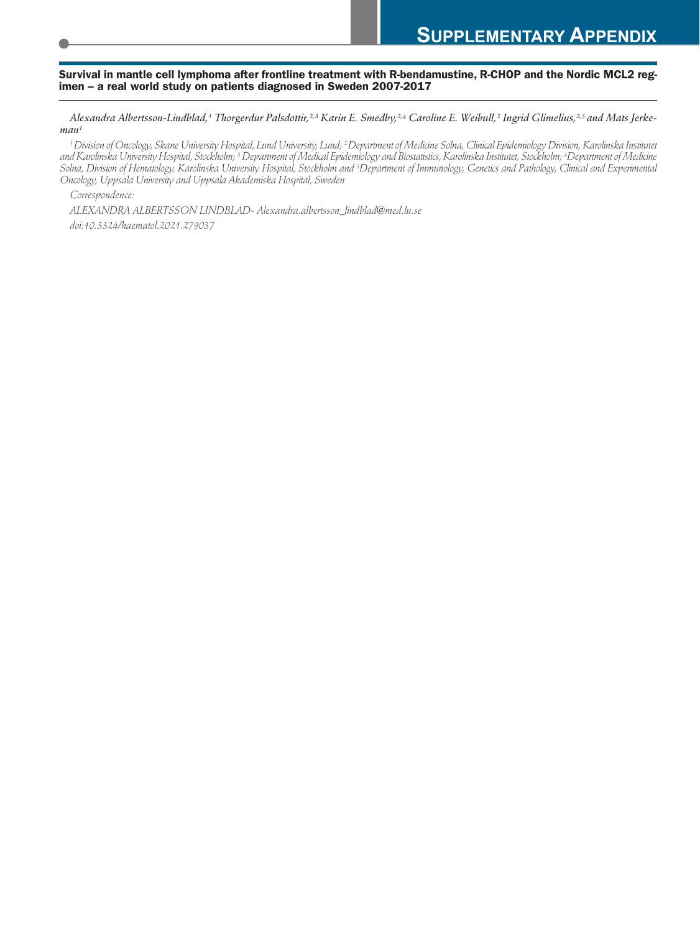## Survival in mantle cell lymphoma after frontline treatment with R-bendamustine, R-CHOP and the Nordic MCL2 regimen – a real world study on patients diagnosed in Sweden 2007-2017

Alexandra Albertsson-Lindblad,<sup>4</sup> Thorgerdur Palsdottir,<sup>2,3</sup> Karin E. Smedby,<sup>2,4</sup> Caroline E. Weibull,<sup>2</sup> Ingrid Glimelius,<sup>2,5</sup> and Mats Jerke*man1*

*1 Division of Oncology, Skane University Hospital, Lund University, Lund; 2 Department of Medicine Solna, Clinical Epidemiology Division, Karolinska Institutet and Karolinska University Hospital, Stockholm; 3 Department of Medical Epidemiology and Biostatistics, Karolinska Institutet, Stockholm; 4 Department of Medicine*  Solna, Division of Hematology, Karolinska University Hospital, Stockholm and <sup>5</sup>Department of Immunology, Genetics and Pathology, Clinical and Experimental *Oncology, Uppsala University and Uppsala Akademiska Hospital, Sweden* 

*Correspondence:* 

*ALEXANDRA ALBERTSSON LINDBLAD- Alexandra.albertsson\_lindblad@med.lu.se doi:10.3324/haematol.2021.279037*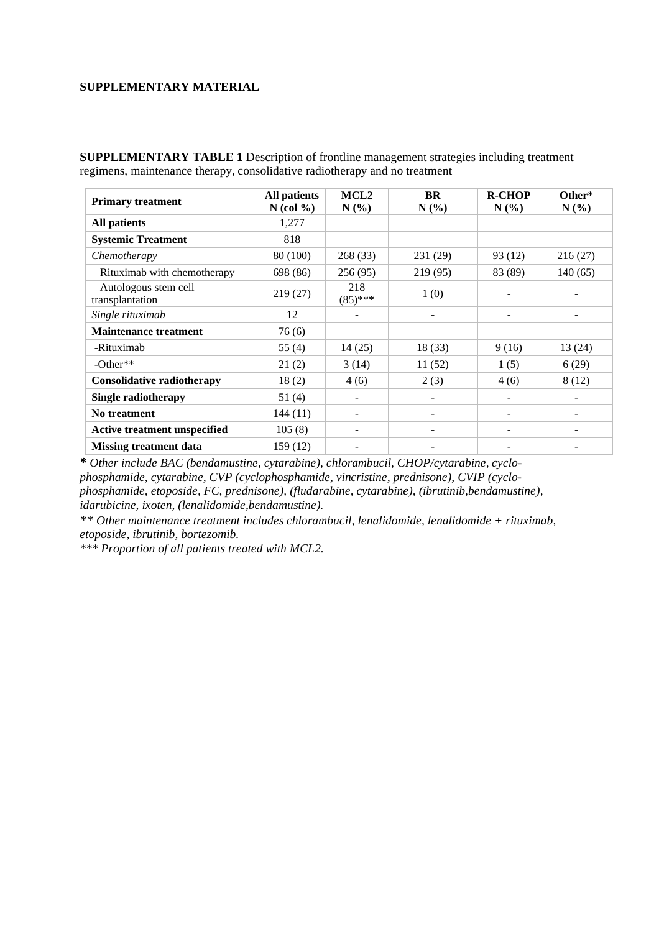## **SUPPLEMENTARY MATERIAL**

**SUPPLEMENTARY TABLE 1** Description of frontline management strategies including treatment regimens, maintenance therapy, consolidative radiotherapy and no treatment

| <b>Primary treatment</b>                | <b>All patients</b><br>$N$ (col %) | MCL <sub>2</sub><br>N(%) | <b>BR</b><br>N(%)        | <b>R-CHOP</b><br>N(%)    | Other*<br>$N(\%)$ |
|-----------------------------------------|------------------------------------|--------------------------|--------------------------|--------------------------|-------------------|
| <b>All patients</b>                     | 1,277                              |                          |                          |                          |                   |
| <b>Systemic Treatment</b>               | 818                                |                          |                          |                          |                   |
| Chemotherapy                            | 80 (100)                           | 268 (33)                 | 231 (29)                 | 93 (12)                  | 216 (27)          |
| Rituximab with chemotherapy             | 698 (86)                           | 256(95)                  | 219 (95)                 | 83 (89)                  | 140(65)           |
| Autologous stem cell<br>transplantation | 219(27)                            | 218<br>$(85)$ ***        | 1(0)                     |                          |                   |
| Single rituximab                        | 12                                 |                          |                          |                          |                   |
| <b>Maintenance treatment</b>            | 76(6)                              |                          |                          |                          |                   |
| -Rituximab                              | 55 $(4)$                           | 14(25)                   | 18 (33)                  | 9(16)                    | 13 (24)           |
| $-Other**$                              | 21(2)                              | 3(14)                    | 11(52)                   | 1(5)                     | 6(29)             |
| <b>Consolidative radiotherapy</b>       | 18(2)                              | 4(6)                     | 2(3)                     | 4(6)                     | 8(12)             |
| <b>Single radiotherapy</b>              | 51(4)                              | $\overline{\phantom{a}}$ | $\overline{\phantom{a}}$ | $\overline{\phantom{a}}$ |                   |
| No treatment                            | 144(11)                            | -                        |                          | -                        |                   |
| Active treatment unspecified            | 105(8)                             |                          | -                        |                          |                   |
| <b>Missing treatment data</b>           | 159 (12)                           |                          |                          |                          |                   |

*\* Other include BAC (bendamustine, cytarabine), chlorambucil, CHOP/cytarabine, cyclophosphamide, cytarabine, CVP (cyclophosphamide, vincristine, prednisone), CVIP (cyclophosphamide, etoposide, FC, prednisone), (fludarabine, cytarabine), (ibrutinib,bendamustine), idarubicine, ixoten, (lenalidomide,bendamustine).* 

*\*\* Other maintenance treatment includes chlorambucil, lenalidomide, lenalidomide + rituximab, etoposide, ibrutinib, bortezomib.*

*\*\*\* Proportion of all patients treated with MCL2.*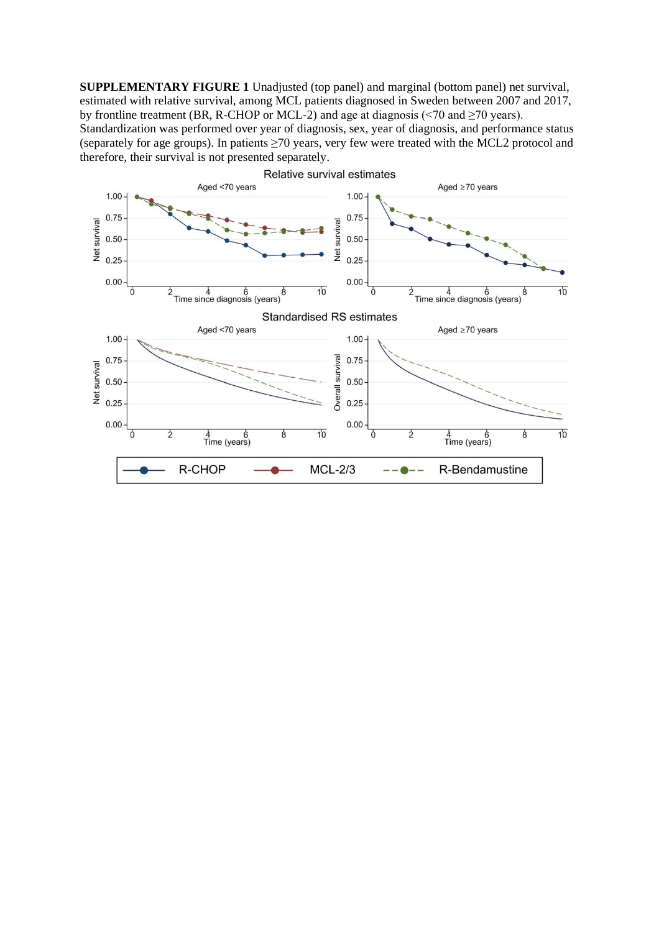**SUPPLEMENTARY FIGURE 1** Unadjusted (top panel) and marginal (bottom panel) net survival, estimated with relative survival, among MCL patients diagnosed in Sweden between 2007 and 2017, by frontline treatment (BR, R-CHOP or MCL-2) and age at diagnosis ( $\leq$ 70 and  $\geq$ 70 years).

Standardization was performed over year of diagnosis, sex, year of diagnosis, and performance status (separately for age groups). In patients  $\geq 70$  years, very few were treated with the MCL2 protocol and therefore, their survival is not presented separately.